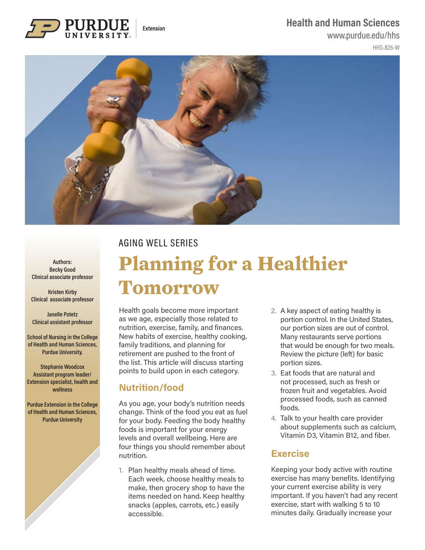## **Health and Human Sciences**



HHS-826-W



AGING WELL SERIES

**Authors: Becky Good Clinical associate professor**

**Kristen Kirby Clinical associate professor**

**Janelle Potetz Clinical assistant professor**

**School of Nursing in the College of Health and Human Sciences, Purdue University.** 

**Stephanie Woodcox Assistant program leader/ Extension specialist, health and wellness**

**Purdue Extension in the College of Health and Human Sciences, Purdue University**

# **Planning for a Healthier Tomorrow**

Health goals become more important as we age, especially those related to nutrition, exercise, family, and finances. New habits of exercise, healthy cooking, family traditions, and planning for retirement are pushed to the front of the list. This article will discuss starting points to build upon in each category.

## **Nutrition/food**

As you age, your body's nutrition needs change. Think of the food you eat as fuel for your body. Feeding the body healthy foods is important for your energy levels and overall wellbeing. Here are four things you should remember about nutrition.

1. Plan healthy meals ahead of time. Each week, choose healthy meals to make, then grocery shop to have the items needed on hand. Keep healthy snacks (apples, carrots, etc.) easily accessible.

- 2. A key aspect of eating healthy is portion control. In the United States, our portion sizes are out of control. Many restaurants serve portions that would be enough for two meals. Review the picture (left) for basic portion sizes.
- 3. Eat foods that are natural and not processed, such as fresh or frozen fruit and vegetables. Avoid processed foods, such as canned foods.
- 4. Talk to your health care provider about supplements such as calcium, Vitamin D3, Vitamin B12, and fiber.

## **Exercise**

Keeping your body active with routine exercise has many benefits. Identifying your current exercise ability is very important. If you haven't had any recent exercise, start with walking 5 to 10 minutes daily. Gradually increase your